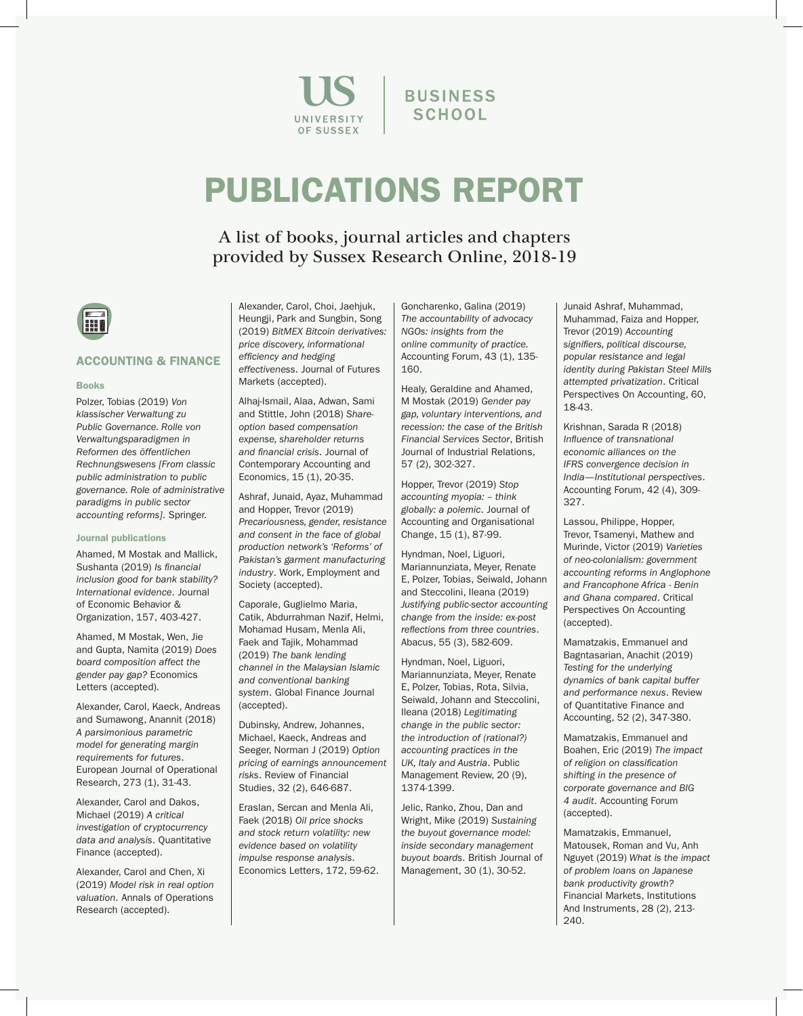

**BUSINESS SCHOOL** 

# PUBLICATIONS REPORT

A list of books, journal articles and chapters provided by Sussex Research Online, 2018-19



# ACCOUNTING & FINANCE

#### Books

Polzer, Tobias (2019) *Von klassischer Verwaltung zu Public Governance. Rolle von Verwaltungsparadigmen in Reformen des öffentlichen Rechnungswesens [From classic public administration to public governance. Role of administrative paradigms in public sector accounting reforms]*. Springer.

# Journal publications

Ahamed, M Mostak and Mallick, Sushanta (2019) *Is financial inclusion good for bank stability? International evidence*. Journal of Economic Behavior & Organization, 157, 403-427.

Ahamed, M Mostak, Wen, Jie and Gupta, Namita (2019) *Does board composition affect the gender pay gap?* Economics Letters (accepted).

Alexander, Carol, Kaeck, Andreas and Sumawong, Anannit (2018) *A parsimonious parametric model for generating margin requirements for futures*. European Journal of Operational Research, 273 (1), 31-43.

Alexander, Carol and Dakos, Michael (2019) *A critical investigation of cryptocurrency data and analysis*. Quantitative Finance (accepted).

Alexander, Carol and Chen, Xi (2019) *Model risk in real option valuation*. Annals of Operations Research (accepted).

Alexander, Carol, Choi, Jaehjuk, Heungji, Park and Sungbin, Song (2019) *BitMEX Bitcoin derivatives: price discovery, informational efficiency and hedging effectiveness*. Journal of Futures Markets (accepted).

Alhaj-Ismail, Alaa, Adwan, Sami and Stittle, John (2018) *Shareoption based compensation expense, shareholder returns and financial crisis*. Journal of Contemporary Accounting and Economics, 15 (1), 20-35.

Ashraf, Junaid, Ayaz, Muhammad and Hopper, Trevor (2019) *Precariousness, gender, resistance and consent in the face of global production network's 'Reforms' of Pakistan's garment manufacturing industry*. Work, Employment and Society (accepted).

Caporale, Guglielmo Maria, Catik, Abdurrahman Nazif, Helmi, Mohamad Husam, Menla Ali, Faek and Tajik, Mohammad (2019) *The bank lending channel in the Malaysian Islamic and conventional banking system*. Global Finance Journal (accepted).

Dubinsky, Andrew, Johannes, Michael, Kaeck, Andreas and Seeger, Norman J (2019) *Option pricing of earnings announcement risks*. Review of Financial Studies, 32 (2), 646-687.

Eraslan, Sercan and Menla Ali, Faek (2018) *Oil price shocks and stock return volatility: new evidence based on volatility impulse response analysis*. Economics Letters, 172, 59-62. Goncharenko, Galina (2019) *The accountability of advocacy NGOs: insights from the online community of practice.* Accounting Forum, 43 (1), 135- 160.

Healy, Geraldine and Ahamed, M Mostak (2019) *Gender pay gap, voluntary interventions, and recession: the case of the British Financial Services Sector*, British Journal of Industrial Relations, 57 (2), 302-327.

Hopper, Trevor (2019) *Stop accounting myopia: – think globally: a polemic*. Journal of Accounting and Organisational Change, 15 (1), 87-99.

Hyndman, Noel, Liguori, Mariannunziata, Meyer, Renate E, Polzer, Tobias, Seiwald, Johann and Steccolini, Ileana (2019) *Justifying public-sector accounting change from the inside: ex-post reflections from three countries*. Abacus, 55 (3), 582-609.

Hyndman, Noel, Liguori, Mariannunziata, Meyer, Renate E, Polzer, Tobias, Rota, Silvia, Seiwald, Johann and Steccolini, Ileana (2018) *Legitimating change in the public sector: the introduction of (rational?) accounting practices in the UK, Italy and Austria*. Public Management Review, 20 (9), 1374-1399.

Jelic, Ranko, Zhou, Dan and Wright, Mike (2019) *Sustaining the buyout governance model: inside secondary management buyout boards*. British Journal of Management, 30 (1), 30-52.

Junaid Ashraf, Muhammad, Muhammad, Faiza and Hopper, Trevor (2019) *Accounting signifiers, political discourse, popular resistance and legal identity during Pakistan Steel Mills attempted privatization*. Critical Perspectives On Accounting, 60, 18-43.

Krishnan, Sarada R (2018) *Influence of transnational economic alliances on the IFRS convergence decision in India—Institutional perspectives*. Accounting Forum, 42 (4), 309- 327.

Lassou, Philippe, Hopper, Trevor, Tsamenyi, Mathew and Murinde, Victor (2019) *Varieties of neo-colonialism: government accounting reforms in Anglophone and Francophone Africa - Benin and Ghana compared*. Critical Perspectives On Accounting (accepted).

Mamatzakis, Emmanuel and Bagntasarian, Anachit (2019) *Testing for the underlying dynamics of bank capital buffer and performance nexus*. Review of Quantitative Finance and Accounting, 52 (2), 347-380.

Mamatzakis, Emmanuel and Boahen, Eric (2019) *The impact of religion on classification shifting in the presence of corporate governance and BIG 4 audit*. Accounting Forum (accepted).

Mamatzakis, Emmanuel, Matousek, Roman and Vu, Anh Nguyet (2019) *What is the impact of problem loans on Japanese bank productivity growth?* Financial Markets, Institutions And Instruments, 28 (2), 213- 240.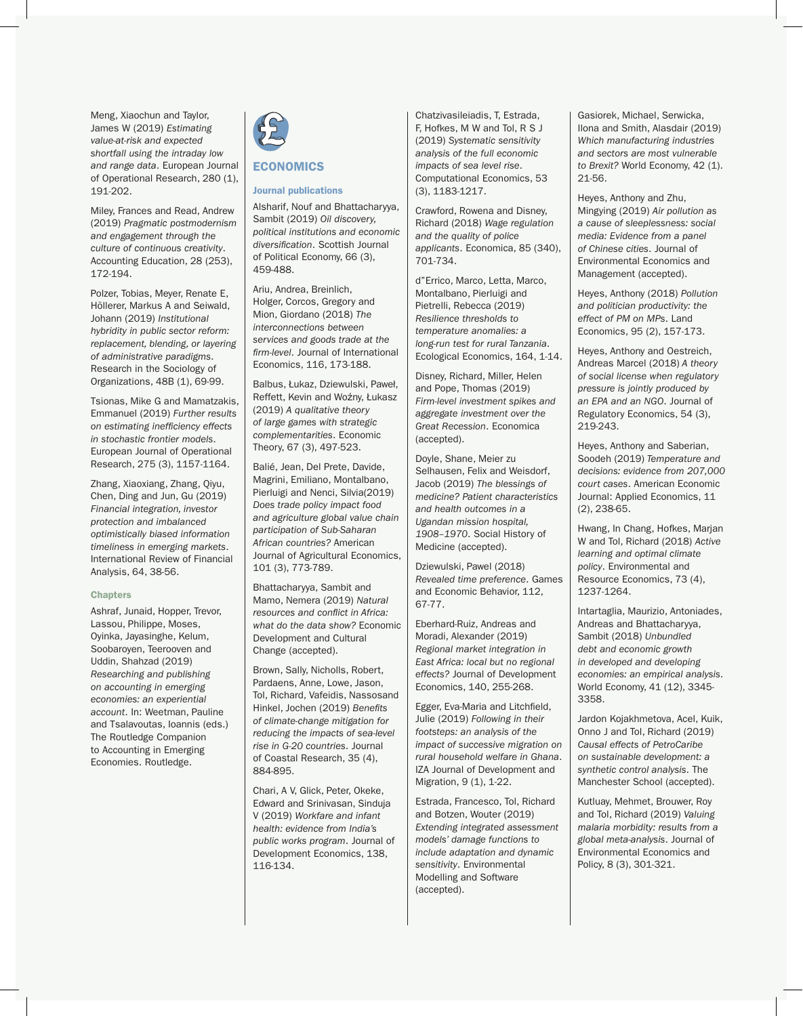Meng, Xiaochun and Taylor, James W (2019) *Estimating value-at-risk and expected shortfall using the intraday low and range data*. European Journal of Operational Research, 280 (1), 191-202.

Miley, Frances and Read, Andrew (2019) *Pragmatic postmodernism and engagement through the culture of continuous creativity*. Accounting Education, 28 (253), 172-194.

Polzer, Tobias, Meyer, Renate E, Höllerer, Markus A and Seiwald, Johann (2019) *Institutional hybridity in public sector reform: replacement, blending, or layering of administrative paradigms*. Research in the Sociology of Organizations, 48B (1), 69-99.

Tsionas, Mike G and Mamatzakis, Emmanuel (2019) *Further results on estimating inefficiency effects in stochastic frontier models*. European Journal of Operational Research, 275 (3), 1157-1164.

Zhang, Xiaoxiang, Zhang, Qiyu, Chen, Ding and Jun, Gu (2019) *Financial integration, investor protection and imbalanced optimistically biased information timeliness in emerging markets*. International Review of Financial Analysis, 64, 38-56.

#### **Chapters**

Ashraf, Junaid, Hopper, Trevor, Lassou, Philippe, Moses, Oyinka, Jayasinghe, Kelum, Soobaroyen, Teerooven and Uddin, Shahzad (2019) *Researching and publishing on accounting in emerging economies: an experiential account*. In: Weetman, Pauline and Tsalavoutas, Ioannis (eds.) The Routledge Companion to Accounting in Emerging Economies. Routledge.



# **ECONOMICS**

#### Journal publications

Alsharif, Nouf and Bhattacharyya, Sambit (2019) *Oil discovery, political institutions and economic diversification*. Scottish Journal of Political Economy, 66 (3), 459-488.

Ariu, Andrea, Breinlich, Holger, Corcos, Gregory and Mion, Giordano (2018) *The interconnections between services and goods trade at the firm-level*. Journal of International Economics, 116, 173-188.

Balbus, Łukaz, Dziewulski, Paweł, Reffett, Kevin and Woźny, Łukasz (2019) *A qualitative theory of large games with strategic complementarities*. Economic Theory, 67 (3), 497-523.

Balié, Jean, Del Prete, Davide, Magrini, Emiliano, Montalbano, Pierluigi and Nenci, Silvia(2019) *Does trade policy impact food and agriculture global value chain participation of Sub-Saharan African countries?* American Journal of Agricultural Economics, 101 (3), 773-789.

Bhattacharyya, Sambit and Mamo, Nemera (2019) *Natural resources and conflict in Africa: what do the data show?* Economic Development and Cultural Change (accepted).

Brown, Sally, Nicholls, Robert, Pardaens, Anne, Lowe, Jason, Tol, Richard, Vafeidis, Nassosand Hinkel, Jochen (2019) *Benefits of climate-change mitigation for reducing the impacts of sea-level rise in G-20 countries*. Journal of Coastal Research, 35 (4), 884-895.

Chari, A V, Glick, Peter, Okeke, Edward and Srinivasan, Sinduja V (2019) *Workfare and infant health: evidence from India's public works program*. Journal of Development Economics, 138, 116-134.

Chatzivasileiadis, T, Estrada, F, Hofkes, M W and Tol, R S J (2019) *Systematic sensitivity analysis of the full economic impacts of sea level rise*. Computational Economics, 53 (3), 1183-1217.

Crawford, Rowena and Disney, Richard (2018) *Wage regulation and the quality of police applicants*. Economica, 85 (340), 701-734.

d''Errico, Marco, Letta, Marco, Montalbano, Pierluigi and Pietrelli, Rebecca (2019) *Resilience thresholds to temperature anomalies: a long-run test for rural Tanzania*. Ecological Economics, 164, 1-14.

Disney, Richard, Miller, Helen and Pope, Thomas (2019) *Firm-level investment spikes and aggregate investment over the Great Recession*. Economica (accepted).

Doyle, Shane, Meier zu Selhausen, Felix and Weisdorf, Jacob (2019) *The blessings of medicine? Patient characteristics and health outcomes in a Ugandan mission hospital, 1908–1970*. Social History of Medicine (accepted).

Dziewulski, Pawel (2018) *Revealed time preference*. Games and Economic Behavior, 112, 67-77.

Eberhard-Ruiz, Andreas and Moradi, Alexander (2019) *Regional market integration in East Africa: local but no regional effects?* Journal of Development Economics, 140, 255-268.

Egger, Eva-Maria and Litchfield, Julie (2019) *Following in their footsteps: an analysis of the impact of successive migration on rural household welfare in Ghana*. IZA Journal of Development and Migration, 9 (1), 1-22.

Estrada, Francesco, Tol, Richard and Botzen, Wouter (2019) *Extending integrated assessment models' damage functions to include adaptation and dynamic sensitivity*. Environmental Modelling and Software (accepted).

Gasiorek, Michael, Serwicka, Ilona and Smith, Alasdair (2019) *Which manufacturing industries and sectors are most vulnerable to Brexit?* World Economy, 42 (1). 21-56.

Heyes, Anthony and Zhu, Mingying (2019) *Air pollution as a cause of sleeplessness: social media: Evidence from a panel of Chinese cities*. Journal of Environmental Economics and Management (accepted).

Heyes, Anthony (2018) *Pollution and politician productivity: the effect of PM on MPs*. Land Economics, 95 (2), 157-173.

Heyes, Anthony and Oestreich, Andreas Marcel (2018) *A theory of social license when regulatory pressure is jointly produced by an EPA and an NGO*. Journal of Regulatory Economics, 54 (3), 219-243.

Heyes, Anthony and Saberian, Soodeh (2019) *Temperature and decisions: evidence from 207,000 court cases*. American Economic Journal: Applied Economics, 11 (2), 238-65.

Hwang, In Chang, Hofkes, Marjan W and Tol, Richard (2018) *Active learning and optimal climate policy*. Environmental and Resource Economics, 73 (4), 1237-1264.

Intartaglia, Maurizio, Antoniades, Andreas and Bhattacharyya, Sambit (2018) *Unbundled debt and economic growth in developed and developing economies: an empirical analysis*. World Economy, 41 (12), 3345- 3358.

Jardon Kojakhmetova, Acel, Kuik, Onno J and Tol, Richard (2019) *Causal effects of PetroCaribe on sustainable development: a synthetic control analysis*. The Manchester School (accepted).

Kutluay, Mehmet, Brouwer, Roy and Tol, Richard (2019) *Valuing malaria morbidity: results from a global meta-analysis*. Journal of Environmental Economics and Policy, 8 (3), 301-321.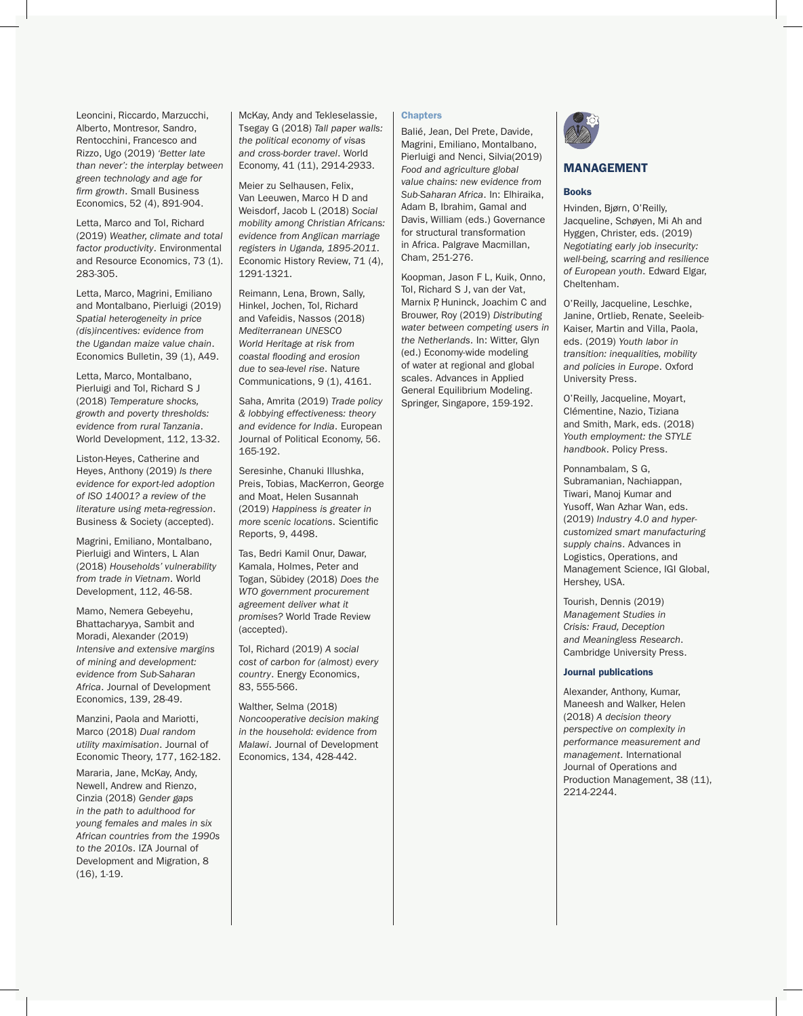Leoncini, Riccardo, Marzucchi, Alberto, Montresor, Sandro, Rentocchini, Francesco and Rizzo, Ugo (2019) *'Better late than never': the interplay between green technology and age for firm growth*. Small Business Economics, 52 (4), 891-904.

Letta, Marco and Tol, Richard (2019) *Weather, climate and total factor productivity*. Environmental and Resource Economics, 73 (1). 283-305.

Letta, Marco, Magrini, Emiliano and Montalbano, Pierluigi (2019) *Spatial heterogeneity in price (dis)incentives: evidence from the Ugandan maize value chain*. Economics Bulletin, 39 (1), A49.

Letta, Marco, Montalbano, Pierluigi and Tol, Richard S J (2018) *Temperature shocks, growth and poverty thresholds: evidence from rural Tanzania*. World Development, 112, 13-32.

Liston-Heyes, Catherine and Heyes, Anthony (2019) *Is there evidence for export-led adoption of ISO 14001? a review of the literature using meta-regression*. Business & Society (accepted).

Magrini, Emiliano, Montalbano, Pierluigi and Winters, L Alan (2018) *Households' vulnerability from trade in Vietnam*. World Development, 112, 46-58.

Mamo, Nemera Gebeyehu, Bhattacharyya, Sambit and Moradi, Alexander (2019) *Intensive and extensive margins of mining and development: evidence from Sub-Saharan Africa*. Journal of Development Economics, 139, 28-49.

Manzini, Paola and Mariotti, Marco (2018) *Dual random utility maximisation*. Journal of Economic Theory, 177, 162-182.

Mararia, Jane, McKay, Andy, Newell, Andrew and Rienzo, Cinzia (2018) *Gender gaps in the path to adulthood for young females and males in six African countries from the 1990s to the 2010s*. IZA Journal of Development and Migration, 8 (16), 1-19.

McKay, Andy and Tekleselassie, Tsegay G (2018) *Tall paper walls: the political economy of visas and cross-border travel*. World Economy, 41 (11), 2914-2933.

Meier zu Selhausen, Felix, Van Leeuwen, Marco H D and Weisdorf, Jacob L (2018) *Social mobility among Christian Africans: evidence from Anglican marriage registers in Uganda, 1895-2011*. Economic History Review, 71 (4), 1291-1321.

Reimann, Lena, Brown, Sally, Hinkel, Jochen, Tol, Richard and Vafeidis, Nassos (2018) *Mediterranean UNESCO World Heritage at risk from coastal flooding and erosion due to sea-level rise*. Nature Communications, 9 (1), 4161.

Saha, Amrita (2019) *Trade policy & lobbying effectiveness: theory and evidence for India*. European Journal of Political Economy, 56. 165-192.

Seresinhe, Chanuki Illushka, Preis, Tobias, MacKerron, George and Moat, Helen Susannah (2019) *Happiness is greater in more scenic locations*. Scientific Reports, 9, 4498.

Tas, Bedri Kamil Onur, Dawar, Kamala, Holmes, Peter and Togan, Sübidey (2018) *Does the WTO government procurement agreement deliver what it promises?* World Trade Review (accepted).

Tol, Richard (2019) *A social cost of carbon for (almost) every country*. Energy Economics, 83, 555-566.

Walther, Selma (2018) *Noncooperative decision making in the household: evidence from Malawi*. Journal of Development Economics, 134, 428-442.

# **Chapters**

Balié, Jean, Del Prete, Davide, Magrini, Emiliano, Montalbano, Pierluigi and Nenci, Silvia(2019) *Food and agriculture global value chains: new evidence from Sub-Saharan Africa*. In: Elhiraika, Adam B, Ibrahim, Gamal and Davis, William (eds.) Governance for structural transformation in Africa. Palgrave Macmillan, Cham, 251-276.

Koopman, Jason F L, Kuik, Onno, Tol, Richard S J, van der Vat, Marnix P, Huninck, Joachim C and Brouwer, Roy (2019) *Distributing water between competing users in the Netherlands*. In: Witter, Glyn (ed.) Economy-wide modeling of water at regional and global scales. Advances in Applied General Equilibrium Modeling. Springer, Singapore, 159-192.



## MANAGEMENT

# Books

Hvinden, Bjørn, O'Reilly, Jacqueline, Schøyen, Mi Ah and Hyggen, Christer, eds. (2019) *Negotiating early job insecurity: well-being, scarring and resilience of European youth*. Edward Elgar, Cheltenham.

O'Reilly, Jacqueline, Leschke, Janine, Ortlieb, Renate, Seeleib-Kaiser, Martin and Villa, Paola, eds. (2019) *Youth labor in transition: inequalities, mobility and policies in Europe*. Oxford University Press.

O'Reilly, Jacqueline, Moyart, Clémentine, Nazio, Tiziana and Smith, Mark, eds. (2018) *Youth employment: the STYLE handbook*. Policy Press.

Ponnambalam, S G, Subramanian, Nachiappan, Tiwari, Manoj Kumar and Yusoff, Wan Azhar Wan, eds. (2019) *Industry 4.0 and hypercustomized smart manufacturing supply chains*. Advances in Logistics, Operations, and Management Science, IGI Global, Hershey, USA.

Tourish, Dennis (2019) *Management Studies in Crisis: Fraud, Deception and Meaningless Research*. Cambridge University Press.

#### Journal publications

Alexander, Anthony, Kumar, Maneesh and Walker, Helen (2018) *A decision theory perspective on complexity in performance measurement and management*. International Journal of Operations and Production Management, 38 (11), 2214-2244.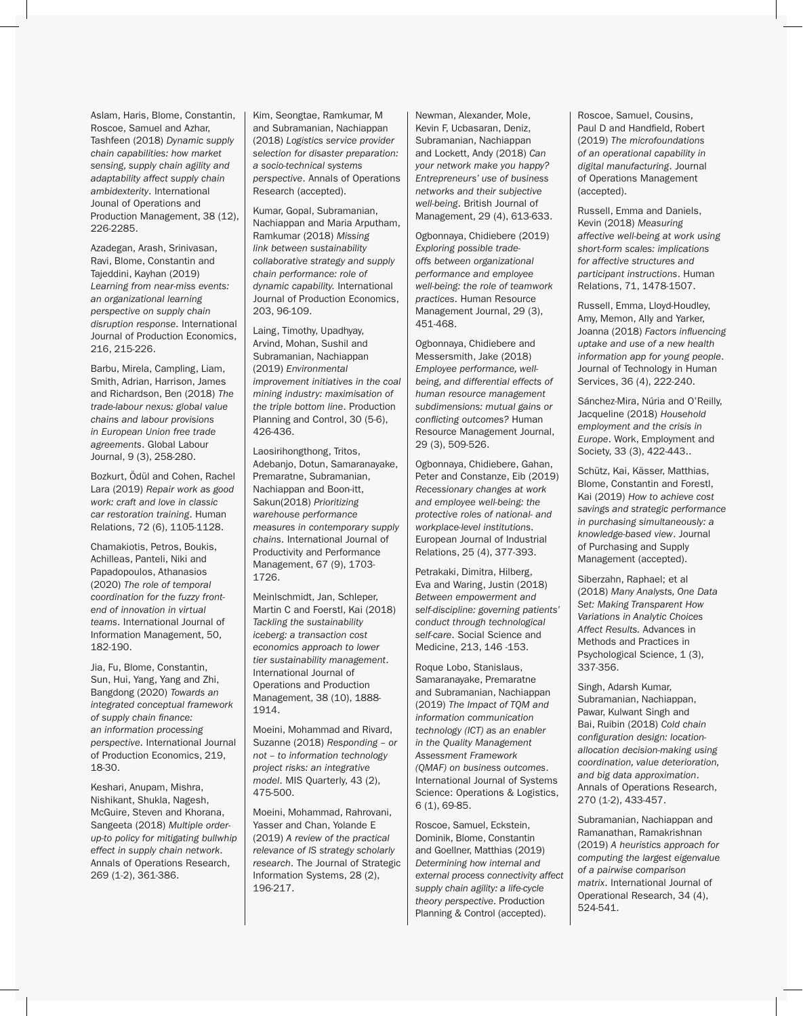Aslam, Haris, Blome, Constantin, Roscoe, Samuel and Azhar, Tashfeen (2018) *Dynamic supply chain capabilities: how market sensing, supply chain agility and adaptability affect supply chain ambidexterity*. International Jounal of Operations and Production Management, 38 (12), 226-2285.

Azadegan, Arash, Srinivasan, Ravi, Blome, Constantin and Tajeddini, Kayhan (2019) *Learning from near-miss events: an organizational learning perspective on supply chain disruption response*. International Journal of Production Economics, 216, 215-226.

Barbu, Mirela, Campling, Liam, Smith, Adrian, Harrison, James and Richardson, Ben (2018) *The trade-labour nexus: global value chains and labour provisions in European Union free trade agreements*. Global Labour Journal, 9 (3), 258-280.

Bozkurt, Ödül and Cohen, Rachel Lara (2019) *Repair work as good work: craft and love in classic car restoration training*. Human Relations, 72 (6), 1105-1128.

Chamakiotis, Petros, Boukis, Achilleas, Panteli, Niki and Papadopoulos, Athanasios (2020) *The role of temporal coordination for the fuzzy frontend of innovation in virtual teams*. International Journal of Information Management, 50, 182-190.

Jia, Fu, Blome, Constantin, Sun, Hui, Yang, Yang and Zhi, Bangdong (2020) *Towards an integrated conceptual framework of supply chain finance: an information processing perspective*. International Journal of Production Economics, 219, 18-30.

Keshari, Anupam, Mishra, Nishikant, Shukla, Nagesh, McGuire, Steven and Khorana, Sangeeta (2018) *Multiple orderup-to policy for mitigating bullwhip effect in supply chain network*. Annals of Operations Research, 269 (1-2), 361-386.

Kim, Seongtae, Ramkumar, M and Subramanian, Nachiappan (2018) *Logistics service provider selection for disaster preparation: a socio-technical systems perspective*. Annals of Operations Research (accepted).

Kumar, Gopal, Subramanian, Nachiappan and Maria Arputham, Ramkumar (2018) *Missing link between sustainability collaborative strategy and supply chain performance: role of dynamic capability.* International Journal of Production Economics, 203, 96-109.

Laing, Timothy, Upadhyay, Arvind, Mohan, Sushil and Subramanian, Nachiappan (2019) *Environmental improvement initiatives in the coal mining industry: maximisation of the triple bottom line*. Production Planning and Control, 30 (5-6), 426-436.

Laosirihongthong, Tritos, Adebanjo, Dotun, Samaranayake, Premaratne, Subramanian, Nachiappan and Boon-itt, Sakun(2018) *Prioritizing warehouse performance measures in contemporary supply chains*. International Journal of Productivity and Performance Management, 67 (9), 1703- 1726.

Meinlschmidt, Jan, Schleper, Martin C and Foerstl, Kai (2018) *Tackling the sustainability iceberg: a transaction cost economics approach to lower tier sustainability management*. International Journal of Operations and Production Management, 38 (10), 1888- 1914.

Moeini, Mohammad and Rivard, Suzanne (2018) *Responding – or not – to information technology project risks: an integrative model*. MIS Quarterly, 43 (2), 475-500.

Moeini, Mohammad, Rahrovani, Yasser and Chan, Yolande E (2019) *A review of the practical relevance of IS strategy scholarly research*. The Journal of Strategic Information Systems, 28 (2), 196-217.

Newman, Alexander, Mole, Kevin F, Ucbasaran, Deniz, Subramanian, Nachiappan and Lockett, Andy (2018) *Can your network make you happy? Entrepreneurs' use of business networks and their subjective well-being*. British Journal of Management, 29 (4), 613-633.

Ogbonnaya, Chidiebere (2019) *Exploring possible tradeoffs between organizational performance and employee well-being: the role of teamwork practices*. Human Resource Management Journal, 29 (3), 451-468.

Ogbonnaya, Chidiebere and Messersmith, Jake (2018) *Employee performance, wellbeing, and differential effects of human resource management subdimensions: mutual gains or conflicting outcomes?* Human Resource Management Journal, 29 (3), 509-526.

Ogbonnaya, Chidiebere, Gahan, Peter and Constanze, Eib (2019) *Recessionary changes at work and employee well-being: the protective roles of national- and workplace-level institutions*. European Journal of Industrial Relations, 25 (4), 377-393.

Petrakaki, Dimitra, Hilberg, Eva and Waring, Justin (2018) *Between empowerment and self-discipline: governing patients' conduct through technological self-care*. Social Science and Medicine, 213, 146 -153.

Roque Lobo, Stanislaus, Samaranayake, Premaratne and Subramanian, Nachiappan (2019) *The Impact of TQM and information communication technology (ICT) as an enabler in the Quality Management Assessment Framework (QMAF) on business outcomes*. International Journal of Systems Science: Operations & Logistics, 6 (1), 69-85.

Roscoe, Samuel, Eckstein, Dominik, Blome, Constantin and Goellner, Matthias (2019) *Determining how internal and external process connectivity affect supply chain agility: a life-cycle theory perspective*. Production Planning & Control (accepted).

Roscoe, Samuel, Cousins, Paul D and Handfield, Robert (2019) *The microfoundations of an operational capability in digital manufacturing*. Journal of Operations Management (accepted).

Russell, Emma and Daniels, Kevin (2018) *Measuring affective well-being at work using short-form scales: implications for affective structures and participant instructions*. Human Relations, 71, 1478-1507.

Russell, Emma, Lloyd-Houdley, Amy, Memon, Ally and Yarker, Joanna (2018) *Factors influencing uptake and use of a new health information app for young people*. Journal of Technology in Human Services, 36 (4), 222-240.

Sánchez-Mira, Núria and O'Reilly, Jacqueline (2018) *Household employment and the crisis in Europe*. Work, Employment and Society, 33 (3), 422-443..

Schütz, Kai, Kässer, Matthias, Blome, Constantin and Forestl, Kai (2019) *How to achieve cost savings and strategic performance in purchasing simultaneously: a knowledge-based view*. Journal of Purchasing and Supply Management (accepted).

Siberzahn, Raphael; et al (2018) *Many Analysts, One Data Set: Making Transparent How Variations in Analytic Choices Affect Results.* Advances in Methods and Practices in Psychological Science, 1 (3), 337-356.

Singh, Adarsh Kumar, Subramanian, Nachiappan, Pawar, Kulwant Singh and Bai, Ruibin (2018) *Cold chain configuration design: locationallocation decision-making using coordination, value deterioration, and big data approximation*. Annals of Operations Research, 270 (1-2), 433-457.

Subramanian, Nachiappan and Ramanathan, Ramakrishnan (2019) *A heuristics approach for computing the largest eigenvalue of a pairwise comparison matrix*. International Journal of Operational Research, 34 (4), 524-541.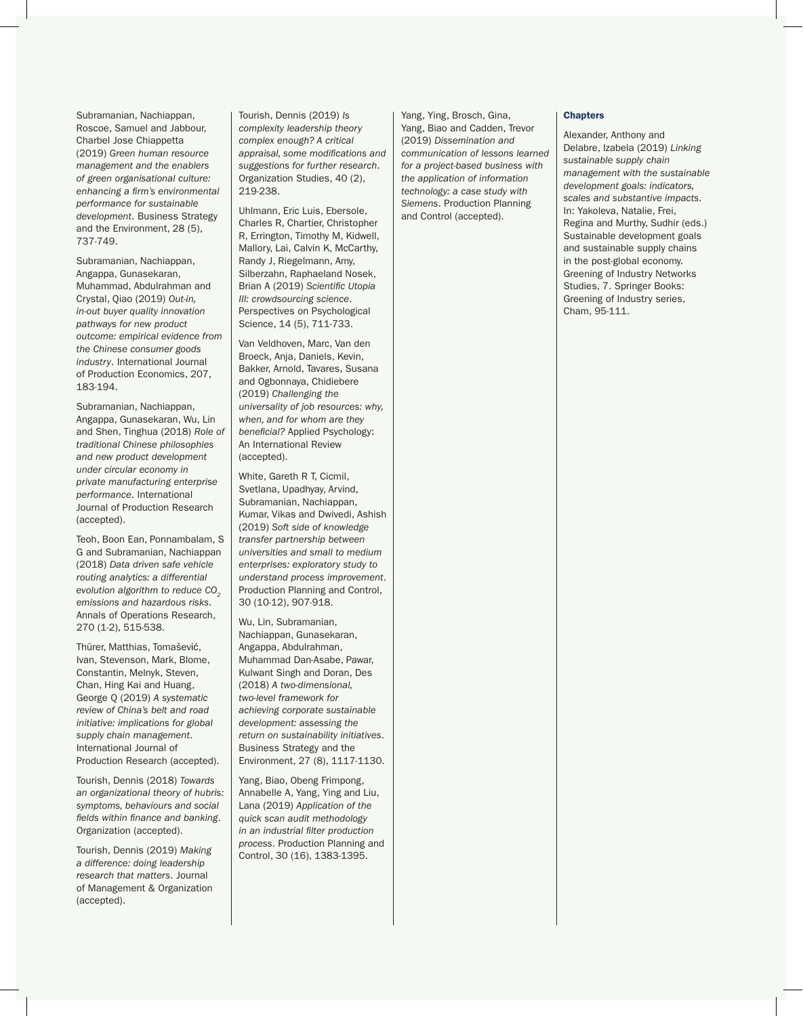Subramanian, Nachiappan, Roscoe, Samuel and Jabbour, Charbel Jose Chiappetta (2019) *Green human resource management and the enablers of green organisational culture: enhancing a firm's environmental performance for sustainable development*. Business Strategy and the Environment, 28 (5), 737-749.

Subramanian, Nachiappan, Angappa, Gunasekaran, Muhammad, Abdulrahman and Crystal, Qiao (2019) *Out-in, in-out buyer quality innovation pathways for new product outcome: empirical evidence from the Chinese consumer goods industry*. International Journal of Production Economics, 207, 183-194.

Subramanian, Nachiappan, Angappa, Gunasekaran, Wu, Lin and Shen, Tinghua (2018) *Role of traditional Chinese philosophies and new product development under circular economy in private manufacturing enterprise performance*. International Journal of Production Research (accepted).

Teoh, Boon Ean, Ponnambalam, S G and Subramanian, Nachiappan (2018) *Data driven safe vehicle routing analytics: a differential evolution algorithm to reduce CO<sub>2</sub> emissions and hazardous risks*. Annals of Operations Research, 270 (1-2), 515-538.

Thürer, Matthias, Tomašević, Ivan, Stevenson, Mark, Blome, Constantin, Melnyk, Steven, Chan, Hing Kai and Huang, George Q (2019) *A systematic review of China's belt and road initiative: implications for global supply chain management*. International Journal of Production Research (accepted).

Tourish, Dennis (2018) *Towards an organizational theory of hubris: symptoms, behaviours and social fields within finance and banking*. Organization (accepted).

Tourish, Dennis (2019) *Making a difference: doing leadership research that matters*. Journal of Management & Organization (accepted).

Tourish, Dennis (2019) *Is complexity leadership theory complex enough? A critical appraisal, some modifications and suggestions for further research*. Organization Studies, 40 (2), 219-238.

Uhlmann, Eric Luis, Ebersole, Charles R, Chartier, Christopher R, Errington, Timothy M, Kidwell, Mallory, Lai, Calvin K, McCarthy, Randy J, Riegelmann, Amy, Silberzahn, Raphaeland Nosek, Brian A (2019) *Scientific Utopia III: crowdsourcing science*. Perspectives on Psychological Science, 14 (5), 711-733.

Van Veldhoven, Marc, Van den Broeck, Anja, Daniels, Kevin, Bakker, Arnold, Tavares, Susana and Ogbonnaya, Chidiebere (2019) *Challenging the universality of job resources: why, when, and for whom are they beneficial?* Applied Psychology: An International Review (accepted).

White, Gareth R T, Cicmil, Svetlana, Upadhyay, Arvind, Subramanian, Nachiappan, Kumar, Vikas and Dwivedi, Ashish (2019) *Soft side of knowledge transfer partnership between universities and small to medium enterprises: exploratory study to understand process improvement*. Production Planning and Control, 30 (10-12), 907-918.

Wu, Lin, Subramanian, Nachiappan, Gunasekaran, Angappa, Abdulrahman, Muhammad Dan-Asabe, Pawar, Kulwant Singh and Doran, Des (2018) *A two-dimensional, two-level framework for achieving corporate sustainable development: assessing the return on sustainability initiatives*. Business Strategy and the Environment, 27 (8), 1117-1130.

Yang, Biao, Obeng Frimpong, Annabelle A, Yang, Ying and Liu, Lana (2019) *Application of the quick scan audit methodology in an industrial filter production process*. Production Planning and Control, 30 (16), 1383-1395.

Yang, Ying, Brosch, Gina, Yang, Biao and Cadden, Trevor (2019) *Dissemination and communication of lessons learned for a project-based business with the application of information technology: a case study with Siemens*. Production Planning and Control (accepted).

#### **Chapters**

Alexander, Anthony and Delabre, Izabela (2019) *Linking sustainable supply chain management with the sustainable development goals: indicators, scales and substantive impacts*. In: Yakoleva, Natalie, Frei, Regina and Murthy, Sudhir (eds.) Sustainable development goals and sustainable supply chains in the post-global economy. Greening of Industry Networks Studies, 7. Springer Books: Greening of Industry series, Cham, 95-111.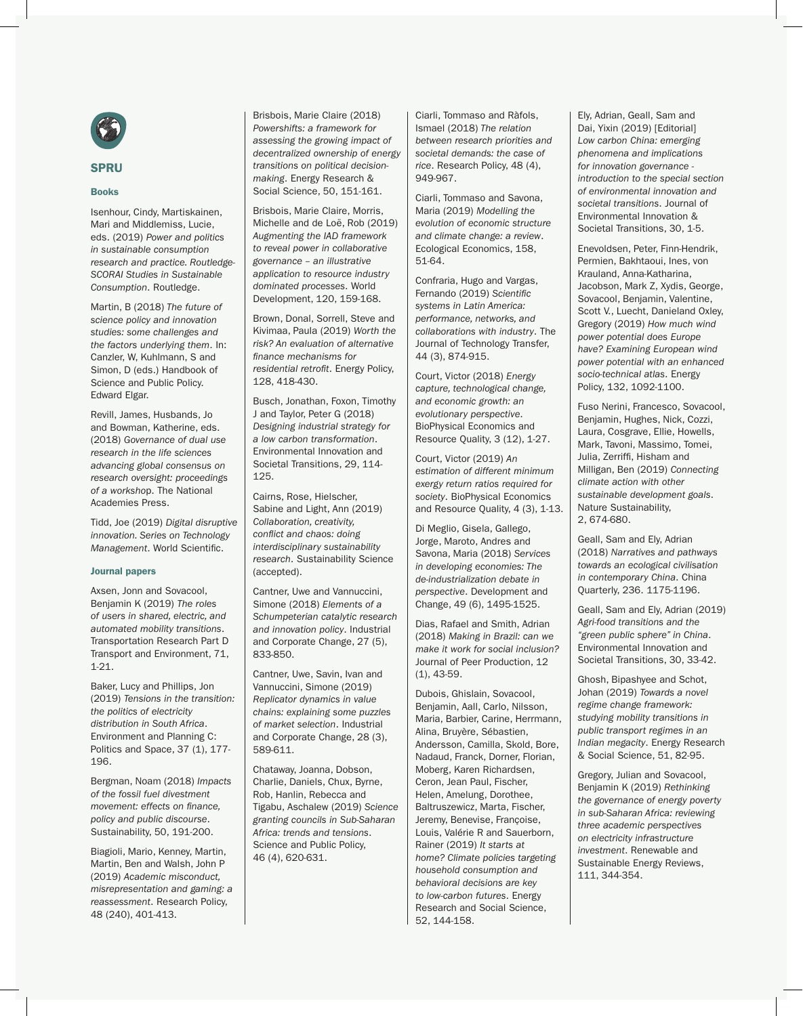

# SPRU

#### Books

Isenhour, Cindy, Martiskainen, Mari and Middlemiss, Lucie, eds. (2019) *Power and politics in sustainable consumption research and practice. Routledge-SCORAI Studies in Sustainable Consumption*. Routledge.

Martin, B (2018) *The future of science policy and innovation studies: some challenges and the factors underlying them*. In: Canzler, W, Kuhlmann, S and Simon, D (eds.) Handbook of Science and Public Policy. Edward Elgar.

Revill, James, Husbands, Jo and Bowman, Katherine, eds. (2018) *Governance of dual use research in the life sciences advancing global consensus on research oversight: proceedings of a worksho*p. The National Academies Press.

Tidd, Joe (2019) *Digital disruptive innovation. Series on Technology Management*. World Scientific.

#### Journal papers

Axsen, Jonn and Sovacool, Benjamin K (2019) *The roles of users in shared, electric, and automated mobility transitions*. Transportation Research Part D Transport and Environment, 71, 1-21.

Baker, Lucy and Phillips, Jon (2019) *Tensions in the transition: the politics of electricity distribution in South Africa*. Environment and Planning C: Politics and Space, 37 (1), 177-196.

Bergman, Noam (2018) *Impacts of the fossil fuel divestment movement: effects on finance, policy and public discourse*. Sustainability, 50, 191-200.

Biagioli, Mario, Kenney, Martin, Martin, Ben and Walsh, John P (2019) *Academic misconduct, misrepresentation and gaming: a reassessment*. Research Policy, 48 (240), 401-413.

Brisbois, Marie Claire (2018) *Powershifts: a framework for assessing the growing impact of decentralized ownership of energy transitions on political decisionmaking*. Energy Research & Social Science, 50, 151-161.

Brisbois, Marie Claire, Morris, Michelle and de Loë, Rob (2019) *Augmenting the IAD framework to reveal power in collaborative governance – an illustrative application to resource industry dominated processes*. World Development, 120, 159-168.

Brown, Donal, Sorrell, Steve and Kivimaa, Paula (2019) *Worth the risk? An evaluation of alternative finance mechanisms for residential retrofit*. Energy Policy, 128, 418-430.

Busch, Jonathan, Foxon, Timothy J and Taylor, Peter G (2018) *Designing industrial strategy for a low carbon transformation*. Environmental Innovation and Societal Transitions, 29, 114- 125.

Cairns, Rose, Hielscher, Sabine and Light, Ann (2019) *Collaboration, creativity, conflict and chaos: doing interdisciplinary sustainability research*. Sustainability Science (accepted).

Cantner, Uwe and Vannuccini, Simone (2018) *Elements of a Schumpeterian catalytic research and innovation policy*. Industrial and Corporate Change, 27 (5), 833-850.

Cantner, Uwe, Savin, Ivan and Vannuccini, Simone (2019) *Replicator dynamics in value chains: explaining some puzzles of market selection*. Industrial and Corporate Change, 28 (3), 589-611.

Chataway, Joanna, Dobson, Charlie, Daniels, Chux, Byrne, Rob, Hanlin, Rebecca and Tigabu, Aschalew (2019) *Science granting councils in Sub-Saharan Africa: trends and tensions*. Science and Public Policy, 46 (4), 620-631.

Ciarli, Tommaso and Ràfols, Ismael (2018) *The relation between research priorities and societal demands: the case of rice*. Research Policy, 48 (4), 949-967.

Ciarli, Tommaso and Savona, Maria (2019) *Modelling the evolution of economic structure and climate change: a review*. Ecological Economics, 158, 51-64.

Confraria, Hugo and Vargas, Fernando (2019) *Scientific systems in Latin America: performance, networks, and collaborations with industry*. The Journal of Technology Transfer, 44 (3), 874-915.

Court, Victor (2018) *Energy capture, technological change, and economic growth: an evolutionary perspective*. BioPhysical Economics and Resource Quality, 3 (12), 1-27.

Court, Victor (2019) *An estimation of different minimum exergy return ratios required for society*. BioPhysical Economics and Resource Quality, 4 (3), 1-13.

Di Meglio, Gisela, Gallego, Jorge, Maroto, Andres and Savona, Maria (2018) *Services in developing economies: The de-industrialization debate in perspective*. Development and Change, 49 (6), 1495-1525.

Dias, Rafael and Smith, Adrian (2018) *Making in Brazil: can we make it work for social inclusion?*  Journal of Peer Production, 12 (1), 43-59.

Dubois, Ghislain, Sovacool, Benjamin, Aall, Carlo, Nilsson, Maria, Barbier, Carine, Herrmann, Alina, Bruyère, Sébastien, Andersson, Camilla, Skold, Bore, Nadaud, Franck, Dorner, Florian, Moberg, Karen Richardsen, Ceron, Jean Paul, Fischer, Helen, Amelung, Dorothee, Baltruszewicz, Marta, Fischer, Jeremy, Benevise, Françoise, Louis, Valérie R and Sauerborn, Rainer (2019) *It starts at home? Climate policies targeting household consumption and behavioral decisions are key to low-carbon futures*. Energy Research and Social Science, 52, 144-158.

Ely, Adrian, Geall, Sam and Dai, Yixin (2019) [Editorial] *Low carbon China: emerging phenomena and implications for innovation governance introduction to the special section of environmental innovation and societal transitions*. Journal of Environmental Innovation & Societal Transitions, 30, 1-5.

Enevoldsen, Peter, Finn-Hendrik, Permien, Bakhtaoui, Ines, von Krauland, Anna-Katharina, Jacobson, Mark Z, Xydis, George, Sovacool, Benjamin, Valentine, Scott V., Luecht, Danieland Oxley, Gregory (2019) *How much wind power potential does Europe have? Examining European wind power potential with an enhanced socio-technical atlas*. Energy Policy, 132, 1092-1100.

Fuso Nerini, Francesco, Sovacool, Benjamin, Hughes, Nick, Cozzi, Laura, Cosgrave, Ellie, Howells, Mark, Tavoni, Massimo, Tomei, Julia, Zerriffi, Hisham and Milligan, Ben (2019) *Connecting climate action with other sustainable development goals*. Nature Sustainability, 2, 674-680.

Geall, Sam and Ely, Adrian (2018) *Narratives and pathways towards an ecological civilisation in contemporary China*. China Quarterly, 236. 1175-1196.

Geall, Sam and Ely, Adrian (2019) *Agri-food transitions and the "green public sphere" in China*. Environmental Innovation and Societal Transitions, 30, 33-42.

Ghosh, Bipashyee and Schot, Johan (2019) *Towards a novel regime change framework: studying mobility transitions in public transport regimes in an Indian megacity*. Energy Research & Social Science, 51, 82-95.

Gregory, Julian and Sovacool, Benjamin K (2019) *Rethinking the governance of energy poverty in sub-Saharan Africa: reviewing three academic perspectives on electricity infrastructure investment*. Renewable and Sustainable Energy Reviews, 111, 344-354.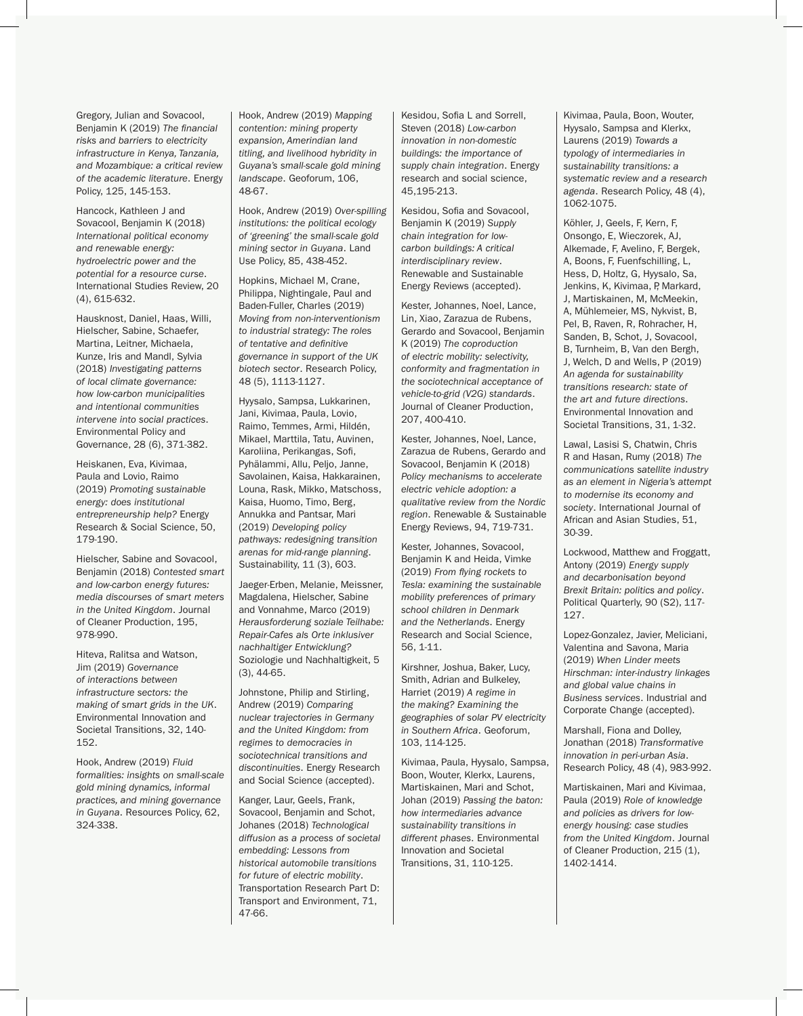Gregory, Julian and Sovacool, Benjamin K (2019) *The financial risks and barriers to electricity infrastructure in Kenya, Tanzania, and Mozambique: a critical review of the academic literature*. Energy Policy, 125, 145-153.

Hancock, Kathleen J and Sovacool, Benjamin K (2018) *International political economy and renewable energy: hydroelectric power and the potential for a resource curse*. International Studies Review, 20 (4), 615-632.

Hausknost, Daniel, Haas, Willi, Hielscher, Sabine, Schaefer, Martina, Leitner, Michaela, Kunze, Iris and Mandl, Sylvia (2018) *Investigating patterns of local climate governance: how low-carbon municipalities and intentional communities intervene into social practices*. Environmental Policy and Governance, 28 (6), 371-382.

Heiskanen, Eva, Kivimaa, Paula and Lovio, Raimo (2019) *Promoting sustainable energy: does institutional entrepreneurship help?* Energy Research & Social Science, 50, 179-190.

Hielscher, Sabine and Sovacool, Benjamin (2018) *Contested smart and low-carbon energy futures: media discourses of smart meters in the United Kingdom*. Journal of Cleaner Production, 195, 978-990.

Hiteva, Ralitsa and Watson, Jim (2019) *Governance of interactions between infrastructure sectors: the making of smart grids in the UK*. Environmental Innovation and Societal Transitions, 32, 140- 152.

Hook, Andrew (2019) *Fluid formalities: insights on small-scale gold mining dynamics, informal practices, and mining governance in Guyana*. Resources Policy, 62, 324-338.

Hook, Andrew (2019) *Mapping contention: mining property expansion, Amerindian land titling, and livelihood hybridity in Guyana's small-scale gold mining landscape*. Geoforum, 106, 48-67.

Hook, Andrew (2019) *Over-spilling institutions: the political ecology of 'greening' the small-scale gold mining sector in Guyana*. Land Use Policy, 85, 438-452.

Hopkins, Michael M, Crane, Philippa, Nightingale, Paul and Baden-Fuller, Charles (2019) *Moving from non-interventionism to industrial strategy: The roles of tentative and definitive governance in support of the UK biotech sector*. Research Policy, 48 (5), 1113-1127.

Hyysalo, Sampsa, Lukkarinen, Jani, Kivimaa, Paula, Lovio, Raimo, Temmes, Armi, Hildén, Mikael, Marttila, Tatu, Auvinen, Karoliina, Perikangas, Sofi, Pyhälammi, Allu, Peljo, Janne, Savolainen, Kaisa, Hakkarainen, Louna, Rask, Mikko, Matschoss, Kaisa, Huomo, Timo, Berg, Annukka and Pantsar, Mari (2019) *Developing policy pathways: redesigning transition arenas for mid-range planning*. Sustainability, 11 (3), 603.

Jaeger-Erben, Melanie, Meissner, Magdalena, Hielscher, Sabine and Vonnahme, Marco (2019) *Herausforderung soziale Teilhabe: Repair-Cafes als Orte inklusiver nachhaltiger Entwicklung?* Soziologie und Nachhaltigkeit, 5 (3), 44-65.

Johnstone, Philip and Stirling, Andrew (2019) *Comparing nuclear trajectories in Germany and the United Kingdom: from regimes to democracies in sociotechnical transitions and discontinuities*. Energy Research and Social Science (accepted).

Kanger, Laur, Geels, Frank, Sovacool, Benjamin and Schot, Johanes (2018) *Technological diffusion as a process of societal embedding: Lessons from historical automobile transitions for future of electric mobility*. Transportation Research Part D: Transport and Environment, 71, 47-66.

Kesidou, Sofia L and Sorrell, Steven (2018) *Low-carbon innovation in non-domestic buildings: the importance of supply chain integration*. Energy research and social science, 45,195-213.

Kesidou, Sofia and Sovacool, Benjamin K (2019) *Supply chain integration for lowcarbon buildings: A critical interdisciplinary review*. Renewable and Sustainable Energy Reviews (accepted).

Kester, Johannes, Noel, Lance, Lin, Xiao, Zarazua de Rubens, Gerardo and Sovacool, Benjamin K (2019) *The coproduction of electric mobility: selectivity, conformity and fragmentation in the sociotechnical acceptance of vehicle-to-grid (V2G) standards*. Journal of Cleaner Production, 207, 400-410.

Kester, Johannes, Noel, Lance, Zarazua de Rubens, Gerardo and Sovacool, Benjamin K (2018) *Policy mechanisms to accelerate electric vehicle adoption: a qualitative review from the Nordic region*. Renewable & Sustainable Energy Reviews, 94, 719-731.

Kester, Johannes, Sovacool, Benjamin K and Heida, Vimke (2019) *From flying rockets to Tesla: examining the sustainable mobility preferences of primary school children in Denmark and the Netherlands*. Energy Research and Social Science, 56, 1-11.

Kirshner, Joshua, Baker, Lucy, Smith, Adrian and Bulkeley, Harriet (2019) *A regime in the making? Examining the geographies of solar PV electricity in Southern Africa*. Geoforum, 103, 114-125.

Kivimaa, Paula, Hyysalo, Sampsa, Boon, Wouter, Klerkx, Laurens, Martiskainen, Mari and Schot, Johan (2019) *Passing the baton: how intermediaries advance sustainability transitions in different phases*. Environmental Innovation and Societal Transitions, 31, 110-125.

Kivimaa, Paula, Boon, Wouter, Hyysalo, Sampsa and Klerkx, Laurens (2019) *Towards a typology of intermediaries in sustainability transitions: a systematic review and a research agenda*. Research Policy, 48 (4), 1062-1075.

Köhler, J, Geels, F, Kern, F, Onsongo, E, Wieczorek, AJ, Alkemade, F, Avelino, F, Bergek, A, Boons, F, Fuenfschilling, L, Hess, D, Holtz, G, Hyysalo, Sa, Jenkins, K, Kivimaa, P, Markard, J, Martiskainen, M, McMeekin, A, Mühlemeier, MS, Nykvist, B, Pel, B, Raven, R, Rohracher, H, Sanden, B, Schot, J, Sovacool, B, Turnheim, B, Van den Bergh, J, Welch, D and Wells, P (2019) *An agenda for sustainability transitions research: state of the art and future directions*. Environmental Innovation and Societal Transitions, 31, 1-32.

Lawal, Lasisi S, Chatwin, Chris R and Hasan, Rumy (2018) *The communications satellite industry as an element in Nigeria's attempt to modernise its economy and society*. International Journal of African and Asian Studies, 51, 30-39.

Lockwood, Matthew and Froggatt, Antony (2019) *Energy supply and decarbonisation beyond Brexit Britain: politics and policy*. Political Quarterly, 90 (S2), 117- 127.

Lopez-Gonzalez, Javier, Meliciani, Valentina and Savona, Maria (2019) *When Linder meets Hirschman: inter-industry linkages and global value chains in Business services*. Industrial and Corporate Change (accepted).

Marshall, Fiona and Dolley, Jonathan (2018) *Transformative innovation in peri-urban Asia*. Research Policy, 48 (4), 983-992.

Martiskainen, Mari and Kivimaa, Paula (2019) *Role of knowledge and policies as drivers for lowenergy housing: case studies from the United Kingdom*. Journal of Cleaner Production, 215 (1), 1402-1414.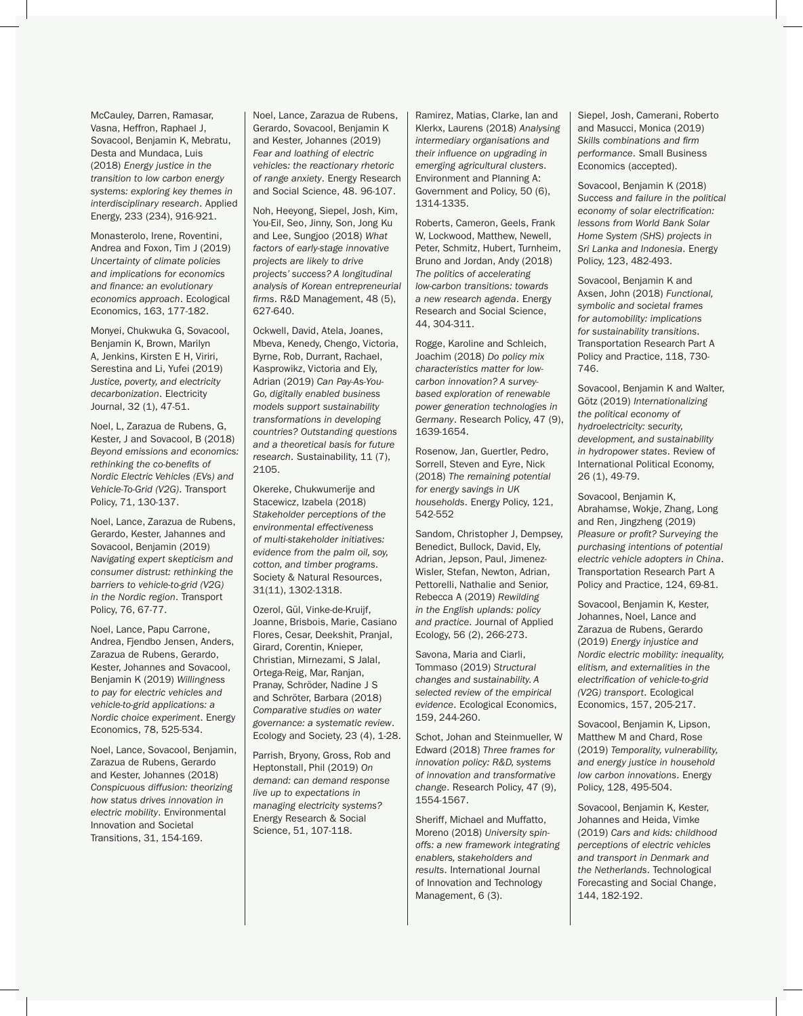McCauley, Darren, Ramasar, Vasna, Heffron, Raphael J, Sovacool, Benjamin K, Mebratu, Desta and Mundaca, Luis (2018) *Energy justice in the transition to low carbon energy systems: exploring key themes in interdisciplinary research*. Applied Energy, 233 (234), 916-921.

Monasterolo, Irene, Roventini, Andrea and Foxon, Tim J (2019) *Uncertainty of climate policies and implications for economics and finance: an evolutionary economics approach*. Ecological Economics, 163, 177-182.

Monyei, Chukwuka G, Sovacool, Benjamin K, Brown, Marilyn A, Jenkins, Kirsten E H, Viriri, Serestina and Li, Yufei (2019) *Justice, poverty, and electricity decarbonization*. Electricity Journal, 32 (1), 47-51.

Noel, L, Zarazua de Rubens, G, Kester, J and Sovacool, B (2018) *Beyond emissions and economics: rethinking the co-benefits of Nordic Electric Vehicles (EVs) and Vehicle-To-Grid (V2G)*. Transport Policy, 71, 130-137.

Noel, Lance, Zarazua de Rubens, Gerardo, Kester, Jahannes and Sovacool, Benjamin (2019) *Navigating expert skepticism and consumer distrust: rethinking the barriers to vehicle-to-grid (V2G) in the Nordic region*. Transport Policy, 76, 67-77.

Noel, Lance, Papu Carrone, Andrea, Fjendbo Jensen, Anders, Zarazua de Rubens, Gerardo, Kester, Johannes and Sovacool, Benjamin K (2019) *Willingness to pay for electric vehicles and vehicle-to-grid applications: a Nordic choice experiment*. Energy Economics, 78, 525-534.

Noel, Lance, Sovacool, Benjamin, Zarazua de Rubens, Gerardo and Kester, Johannes (2018) *Conspicuous diffusion: theorizing how status drives innovation in electric mobility*. Environmental Innovation and Societal Transitions, 31, 154-169.

Noel, Lance, Zarazua de Rubens, Gerardo, Sovacool, Benjamin K and Kester, Johannes (2019) *Fear and loathing of electric vehicles: the reactionary rhetoric of range anxiety*. Energy Research and Social Science, 48. 96-107.

Noh, Heeyong, Siepel, Josh, Kim, You-Eil, Seo, Jinny, Son, Jong Ku and Lee, Sungjoo (2018) *What factors of early-stage innovative projects are likely to drive projects' success? A longitudinal analysis of Korean entrepreneurial firms*. R&D Management, 48 (5), 627-640.

Ockwell, David, Atela, Joanes, Mbeva, Kenedy, Chengo, Victoria, Byrne, Rob, Durrant, Rachael, Kasprowikz, Victoria and Ely, Adrian (2019) *Can Pay-As-You-Go, digitally enabled business models support sustainability transformations in developing countries? Outstanding questions and a theoretical basis for future research*. Sustainability, 11 (7), 2105.

Okereke, Chukwumerije and Stacewicz, Izabela (2018) *Stakeholder perceptions of the environmental effectiveness of multi-stakeholder initiatives: evidence from the palm oil, soy, cotton, and timber programs*. Society & Natural Resources, 31(11), 1302-1318.

Ozerol, Gül, Vinke-de-Kruijf, Joanne, Brisbois, Marie, Casiano Flores, Cesar, Deekshit, Pranjal, Girard, Corentin, Knieper, Christian, Mirnezami, S Jalal, Ortega-Reig, Mar, Ranjan, Pranay, Schröder, Nadine J S and Schröter, Barbara (2018) *Comparative studies on water governance: a systematic review*. Ecology and Society, 23 (4), 1-28.

Parrish, Bryony, Gross, Rob and Heptonstall, Phil (2019) *On demand: can demand response live up to expectations in managing electricity systems?* Energy Research & Social Science, 51, 107-118.

Ramirez, Matias, Clarke, Ian and Klerkx, Laurens (2018) *Analysing intermediary organisations and their influence on upgrading in emerging agricultural clusters*. Environment and Planning A: Government and Policy, 50 (6), 1314-1335.

Roberts, Cameron, Geels, Frank W, Lockwood, Matthew, Newell, Peter, Schmitz, Hubert, Turnheim, Bruno and Jordan, Andy (2018) *The politics of accelerating low-carbon transitions: towards a new research agenda*. Energy Research and Social Science, 44, 304-311.

Rogge, Karoline and Schleich, Joachim (2018) *Do policy mix characteristics matter for lowcarbon innovation? A surveybased exploration of renewable power generation technologies in Germany*. Research Policy, 47 (9), 1639-1654.

Rosenow, Jan, Guertler, Pedro, Sorrell, Steven and Eyre, Nick (2018) *The remaining potential for energy savings in UK households*. Energy Policy, 121, 542-552

Sandom, Christopher J, Dempsey, Benedict, Bullock, David, Ely, Adrian, Jepson, Paul, Jimenez-Wisler, Stefan, Newton, Adrian, Pettorelli, Nathalie and Senior, Rebecca A (2019) *Rewilding in the English uplands: policy and practice*. Journal of Applied Ecology, 56 (2), 266-273.

Savona, Maria and Ciarli, Tommaso (2019) *Structural changes and sustainability. A selected review of the empirical evidence*. Ecological Economics, 159, 244-260.

Schot, Johan and Steinmueller, W Edward (2018) *Three frames for innovation policy: R&D, systems of innovation and transformative change*. Research Policy, 47 (9), 1554-1567.

Sheriff, Michael and Muffatto, Moreno (2018) *University spinoffs: a new framework integrating enablers, stakeholders and results*. International Journal of Innovation and Technology Management, 6 (3).

Siepel, Josh, Camerani, Roberto and Masucci, Monica (2019) *Skills combinations and firm performance*. Small Business Economics (accepted).

Sovacool, Benjamin K (2018) *Success and failure in the political economy of solar electrification: lessons from World Bank Solar Home System (SHS) projects in Sri Lanka and Indonesia*. Energy Policy, 123, 482-493.

Sovacool, Benjamin K and Axsen, John (2018) *Functional, symbolic and societal frames for automobility: implications for sustainability transitions*. Transportation Research Part A Policy and Practice, 118, 730- 746.

Sovacool, Benjamin K and Walter, Götz (2019) *Internationalizing the political economy of hydroelectricity: security, development, and sustainability in hydropower states*. Review of International Political Economy, 26 (1), 49-79.

Sovacool, Benjamin K, Abrahamse, Wokje, Zhang, Long and Ren, Jingzheng (2019) *Pleasure or profit? Surveying the purchasing intentions of potential electric vehicle adopters in China*. Transportation Research Part A Policy and Practice, 124, 69-81.

Sovacool, Benjamin K, Kester, Johannes, Noel, Lance and Zarazua de Rubens, Gerardo (2019) *Energy injustice and Nordic electric mobility: inequality, elitism, and externalities in the electrification of vehicle-to-grid (V2G) transport*. Ecological Economics, 157, 205-217.

Sovacool, Benjamin K, Lipson, Matthew M and Chard, Rose (2019) *Temporality, vulnerability, and energy justice in household low carbon innovations*. Energy Policy, 128, 495-504.

Sovacool, Benjamin K, Kester, Johannes and Heida, Vimke (2019) *Cars and kids: childhood perceptions of electric vehicles and transport in Denmark and the Netherlands*. Technological Forecasting and Social Change, 144, 182-192.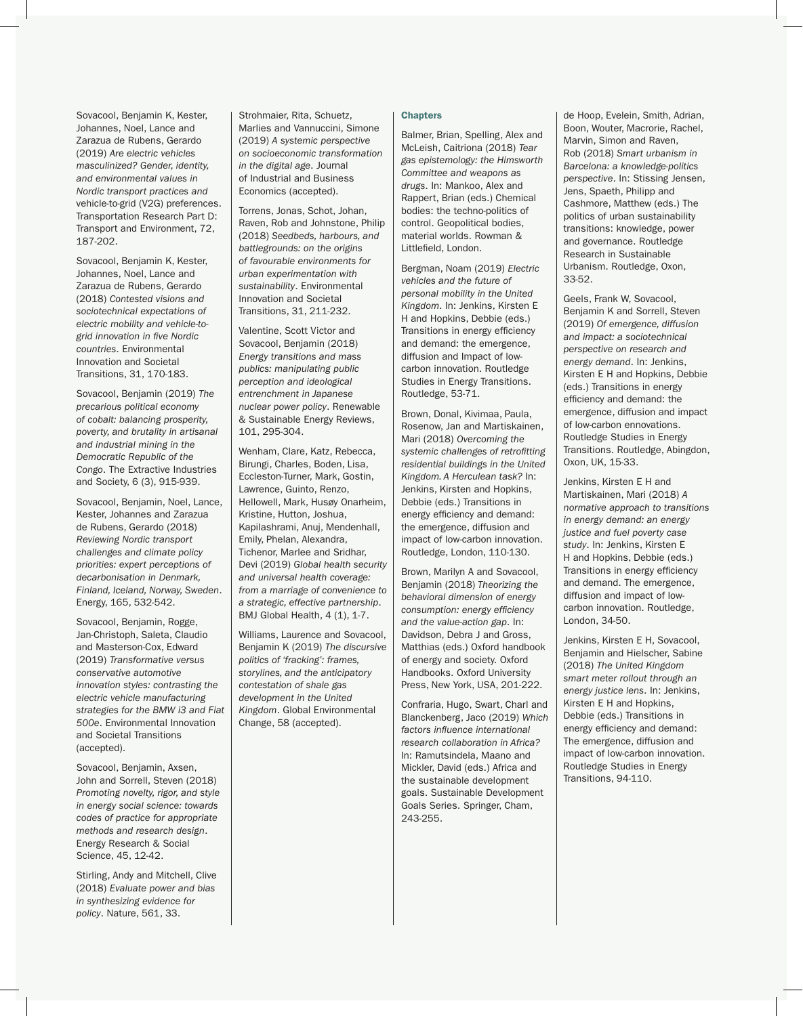Sovacool, Benjamin K, Kester, Johannes, Noel, Lance and Zarazua de Rubens, Gerardo (2019) *Are electric vehicles masculinized? Gender, identity, and environmental values in Nordic transport practices and*  vehicle-to-grid (V2G) preferences. Transportation Research Part D: Transport and Environment, 72, 187-202.

Sovacool, Benjamin K, Kester, Johannes, Noel, Lance and Zarazua de Rubens, Gerardo (2018) *Contested visions and sociotechnical expectations of electric mobility and vehicle-togrid innovation in five Nordic countries*. Environmental Innovation and Societal Transitions, 31, 170-183.

Sovacool, Benjamin (2019) *The precarious political economy of cobalt: balancing prosperity, poverty, and brutality in artisanal and industrial mining in the Democratic Republic of the Congo*. The Extractive Industries and Society, 6 (3), 915-939.

Sovacool, Benjamin, Noel, Lance, Kester, Johannes and Zarazua de Rubens, Gerardo (2018) *Reviewing Nordic transport challenges and climate policy priorities: expert perceptions of decarbonisation in Denmark, Finland, Iceland, Norway, Sweden*. Energy, 165, 532-542.

Sovacool, Benjamin, Rogge, Jan-Christoph, Saleta, Claudio and Masterson-Cox, Edward (2019) *Transformative versus conservative automotive innovation styles: contrasting the electric vehicle manufacturing strategies for the BMW i3 and Fiat 500e*. Environmental Innovation and Societal Transitions (accepted).

Sovacool, Benjamin, Axsen, John and Sorrell, Steven (2018) *Promoting novelty, rigor, and style in energy social science: towards codes of practice for appropriate methods and research design*. Energy Research & Social Science, 45, 12-42.

Stirling, Andy and Mitchell, Clive (2018) *Evaluate power and bias in synthesizing evidence for policy*. Nature, 561, 33.

Strohmaier, Rita, Schuetz, Marlies and Vannuccini, Simone (2019) *A systemic perspective on socioeconomic transformation in the digital age*. Journal of Industrial and Business Economics (accepted).

Torrens, Jonas, Schot, Johan, Raven, Rob and Johnstone, Philip (2018) *Seedbeds, harbours, and battlegrounds: on the origins of favourable environments for urban experimentation with sustainability*. Environmental Innovation and Societal Transitions, 31, 211-232.

Valentine, Scott Victor and Sovacool, Benjamin (2018) *Energy transitions and mass publics: manipulating public perception and ideological entrenchment in Japanese nuclear power policy*. Renewable & Sustainable Energy Reviews, 101, 295-304.

Wenham, Clare, Katz, Rebecca, Birungi, Charles, Boden, Lisa, Eccleston-Turner, Mark, Gostin, Lawrence, Guinto, Renzo, Hellowell, Mark, Husøy Onarheim, Kristine, Hutton, Joshua, Kapilashrami, Anuj, Mendenhall, Emily, Phelan, Alexandra, Tichenor, Marlee and Sridhar, Devi (2019) *Global health security and universal health coverage: from a marriage of convenience to a strategic, effective partnership*. BMJ Global Health, 4 (1), 1-7.

Williams, Laurence and Sovacool, Benjamin K (2019) *The discursive politics of 'fracking': frames, storylines, and the anticipatory contestation of shale gas development in the United Kingdom*. Global Environmental Change, 58 (accepted).

# **Chapters**

Balmer, Brian, Spelling, Alex and McLeish, Caitriona (2018) *Tear gas epistemology: the Himsworth Committee and weapons as drugs*. In: Mankoo, Alex and Rappert, Brian (eds.) Chemical bodies: the techno-politics of control. Geopolitical bodies, material worlds. Rowman & Littlefield, London.

Bergman, Noam (2019) *Electric vehicles and the future of personal mobility in the United Kingdom*. In: Jenkins, Kirsten E H and Hopkins, Debbie (eds.) Transitions in energy efficiency and demand: the emergence, diffusion and Impact of lowcarbon innovation. Routledge Studies in Energy Transitions. Routledge, 53-71.

Brown, Donal, Kivimaa, Paula, Rosenow, Jan and Martiskainen, Mari (2018) *Overcoming the systemic challenges of retrofitting residential buildings in the United Kingdom. A Herculean task?* In: Jenkins, Kirsten and Hopkins, Debbie (eds.) Transitions in energy efficiency and demand: the emergence, diffusion and impact of low-carbon innovation. Routledge, London, 110-130.

Brown, Marilyn A and Sovacool, Benjamin (2018) *Theorizing the behavioral dimension of energy consumption: energy efficiency and the value-action gap*. In: Davidson, Debra J and Gross, Matthias (eds.) Oxford handbook of energy and society. Oxford Handbooks. Oxford University Press, New York, USA, 201-222.

Confraria, Hugo, Swart, Charl and Blanckenberg, Jaco (2019) *Which factors influence international research collaboration in Africa?* In: Ramutsindela, Maano and Mickler, David (eds.) Africa and the sustainable development goals. Sustainable Development Goals Series. Springer, Cham, 243-255.

de Hoop, Evelein, Smith, Adrian, Boon, Wouter, Macrorie, Rachel, Marvin, Simon and Raven, Rob (2018) *Smart urbanism in Barcelona: a knowledge-politics perspective*. In: Stissing Jensen, Jens, Spaeth, Philipp and Cashmore, Matthew (eds.) The politics of urban sustainability transitions: knowledge, power and governance. Routledge Research in Sustainable Urbanism. Routledge, Oxon, 33-52.

Geels, Frank W, Sovacool, Benjamin K and Sorrell, Steven (2019) *Of emergence, diffusion and impact: a sociotechnical perspective on research and energy demand*. In: Jenkins, Kirsten E H and Hopkins, Debbie (eds.) Transitions in energy efficiency and demand: the emergence, diffusion and impact of low-carbon ennovations. Routledge Studies in Energy Transitions. Routledge, Abingdon, Oxon, UK, 15-33.

Jenkins, Kirsten E H and Martiskainen, Mari (2018) *A normative approach to transitions in energy demand: an energy justice and fuel poverty case study*. In: Jenkins, Kirsten E H and Hopkins, Debbie (eds.) Transitions in energy efficiency and demand. The emergence, diffusion and impact of lowcarbon innovation. Routledge, London, 34-50.

Jenkins, Kirsten E H, Sovacool, Benjamin and Hielscher, Sabine (2018) *The United Kingdom smart meter rollout through an energy justice lens*. In: Jenkins, Kirsten E H and Hopkins, Debbie (eds.) Transitions in energy efficiency and demand: The emergence, diffusion and impact of low-carbon innovation. Routledge Studies in Energy Transitions, 94-110.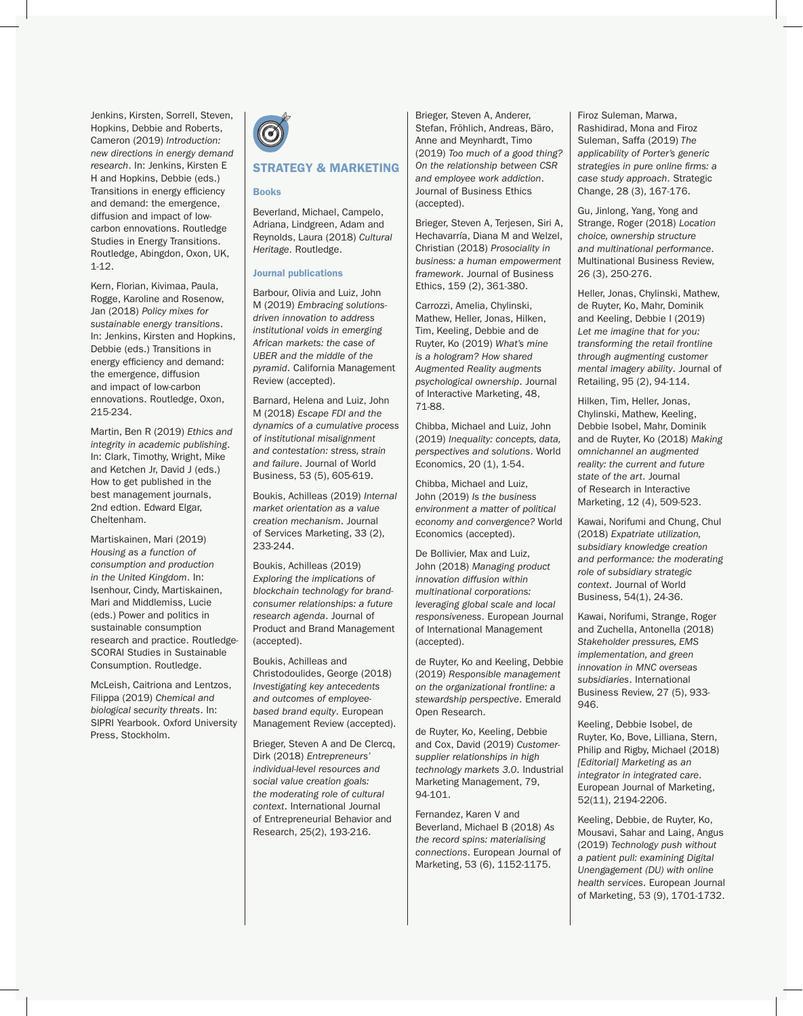Jenkins, Kirsten, Sorrell, Steven, Hopkins, Debbie and Roberts, Cameron (2019) *Introduction: new directions in energy demand research*. In: Jenkins, Kirsten E H and Hopkins, Debbie (eds.) Transitions in energy efficiency and demand: the emergence, diffusion and impact of lowcarbon ennovations. Routledge Studies in Energy Transitions. Routledge, Abingdon, Oxon, UK, 1-12.

Kern, Florian, Kivimaa, Paula, Rogge, Karoline and Rosenow, Jan (2018) *Policy mixes for sustainable energy transitions*. In: Jenkins, Kirsten and Hopkins, Debbie (eds.) Transitions in energy efficiency and demand: the emergence, diffusion and impact of low-carbon ennovations. Routledge, Oxon, 215-234.

Martin, Ben R (2019) *Ethics and integrity in academic publishing*. In: Clark, Timothy, Wright, Mike and Ketchen Jr, David J (eds.) How to get published in the best management journals, 2nd edtion. Edward Elgar, Cheltenham.

Martiskainen, Mari (2019) *Housing as a function of consumption and production in the United Kingdom*. In: Isenhour, Cindy, Martiskainen, Mari and Middlemiss, Lucie (eds.) Power and politics in sustainable consumption research and practice. Routledge-SCORAI Studies in Sustainable Consumption. Routledge.

McLeish, Caitriona and Lentzos, Filippa (2019) *Chemical and biological security threats*. In: SIPRI Yearbook. Oxford University Press, Stockholm.



# STRATEGY & MARKETING

#### Books

Beverland, Michael, Campelo, Adriana, Lindgreen, Adam and Reynolds, Laura (2018) *Cultural Heritage*. Routledge.

#### Journal publications

Barbour, Olivia and Luiz, John M (2019) *Embracing solutionsdriven innovation to address institutional voids in emerging African markets: the case of UBER and the middle of the pyramid*. California Management Review (accepted).

Barnard, Helena and Luiz, John M (2018) *Escape FDI and the dynamics of a cumulative process of institutional misalignment and contestation: stress, strain and failure*. Journal of World Business, 53 (5), 605-619.

Boukis, Achilleas (2019) *Internal market orientation as a value creation mechanism*. Journal of Services Marketing, 33 (2), 233-244.

Boukis, Achilleas (2019) *Exploring the implications of blockchain technology for brandconsumer relationships: a future research agenda*. Journal of Product and Brand Management (accepted).

Boukis, Achilleas and Christodoulides, George (2018) *Investigating key antecedents and outcomes of employeebased brand equity*. European Management Review (accepted).

Brieger, Steven A and De Clercq, Dirk (2018) *Entrepreneurs' individual-level resources and social value creation goals: the moderating role of cultural context*. International Journal of Entrepreneurial Behavior and Research, 25(2), 193-216.

Brieger, Steven A, Anderer, Stefan, Fröhlich, Andreas, Bäro, Anne and Meynhardt, Timo (2019) *Too much of a good thing? On the relationship between CSR and employee work addiction*. Journal of Business Ethics (accepted).

Brieger, Steven A, Terjesen, Siri A, Hechavarría, Diana M and Welzel, Christian (2018) *Prosociality in business: a human empowerment framework*. Journal of Business Ethics, 159 (2), 361-380.

Carrozzi, Amelia, Chylinski, Mathew, Heller, Jonas, Hilken, Tim, Keeling, Debbie and de Ruyter, Ko (2019) *What's mine is a hologram? How shared Augmented Reality augments psychological ownership*. Journal of Interactive Marketing, 48, 71-88.

Chibba, Michael and Luiz, John (2019) *Inequality: concepts, data, perspectives and solutions*. World Economics, 20 (1), 1-54.

Chibba, Michael and Luiz, John (2019) *Is the business environment a matter of political economy and convergence?* World Economics (accepted).

De Bollivier, Max and Luiz, John (2018) *Managing product innovation diffusion within multinational corporations: leveraging global scale and local responsiveness*. European Journal of International Management (accepted).

de Ruyter, Ko and Keeling, Debbie (2019) *Responsible management on the organizational frontline: a stewardship perspective*. Emerald Open Research.

de Ruyter, Ko, Keeling, Debbie and Cox, David (2019) *Customersupplier relationships in high technology markets 3.0*. Industrial Marketing Management, 79, 94-101.

Fernandez, Karen V and Beverland, Michael B (2018) *As the record spins: materialising connections*. European Journal of Marketing, 53 (6), 1152-1175.

Firoz Suleman, Marwa, Rashidirad, Mona and Firoz Suleman, Saffa (2019) *The applicability of Porter's generic strategies in pure online firms: a case study approach*. Strategic Change, 28 (3), 167-176.

Gu, Jinlong, Yang, Yong and Strange, Roger (2018) *Location choice, ownership structure and multinational performance*. Multinational Business Review, 26 (3), 250-276.

Heller, Jonas, Chylinski, Mathew, de Ruyter, Ko, Mahr, Dominik and Keeling, Debbie I (2019) *Let me imagine that for you: transforming the retail frontline through augmenting customer mental imagery ability*. Journal of Retailing, 95 (2), 94-114.

Hilken, Tim, Heller, Jonas, Chylinski, Mathew, Keeling, Debbie Isobel, Mahr, Dominik and de Ruyter, Ko (2018) *Making omnichannel an augmented reality: the current and future state of the art*. Journal of Research in Interactive Marketing, 12 (4), 509-523.

Kawai, Norifumi and Chung, Chul (2018) *Expatriate utilization, subsidiary knowledge creation and performance: the moderating role of subsidiary strategic context*. Journal of World Business, 54(1), 24-36.

Kawai, Norifumi, Strange, Roger and Zuchella, Antonella (2018) *Stakeholder pressures, EMS implementation, and green innovation in MNC overseas subsidiaries*. International Business Review, 27 (5), 933- 946.

Keeling, Debbie Isobel, de Ruyter, Ko, Bove, Lilliana, Stern, Philip and Rigby, Michael (2018) *[Editorial] Marketing as an integrator in integrated care*. European Journal of Marketing, 52(11), 2194-2206.

Keeling, Debbie, de Ruyter, Ko, Mousavi, Sahar and Laing, Angus (2019) *Technology push without a patient pull: examining Digital Unengagement (DU) with online health services*. European Journal of Marketing, 53 (9), 1701-1732.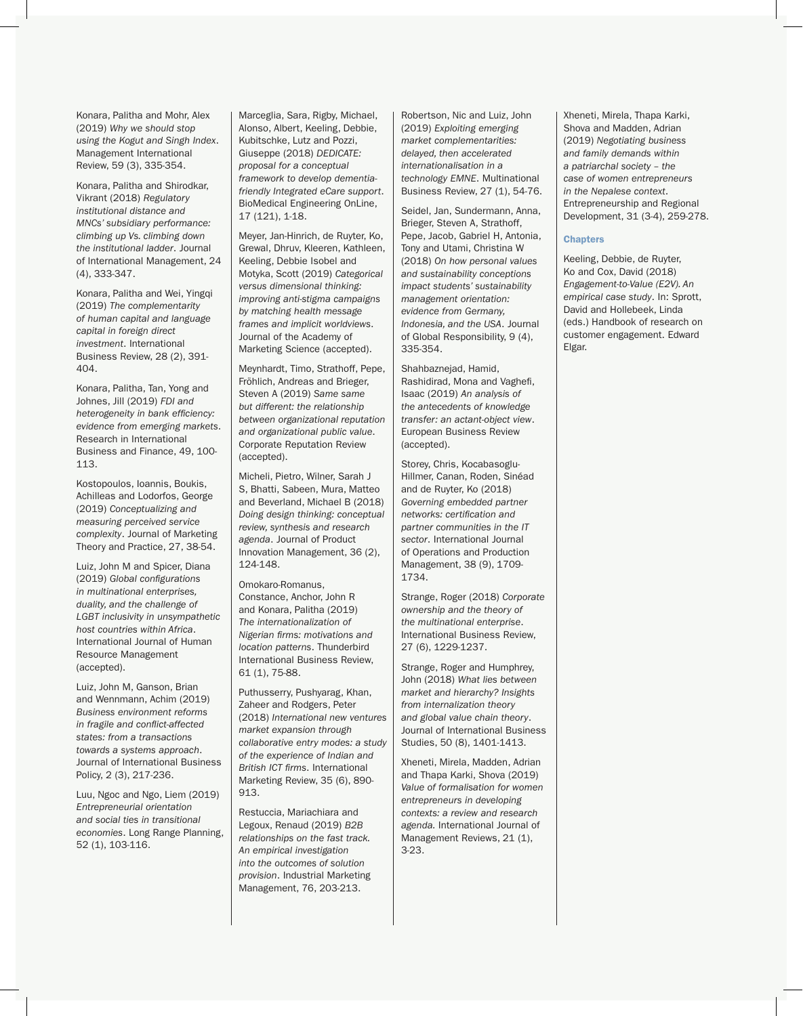Konara, Palitha and Mohr, Alex (2019) *Why we should stop using the Kogut and Singh Index*. Management International Review, 59 (3), 335-354.

Konara, Palitha and Shirodkar, Vikrant (2018) *Regulatory institutional distance and MNCs' subsidiary performance: climbing up Vs. climbing down the institutional ladder*. Journal of International Management, 24 (4), 333-347.

Konara, Palitha and Wei, Yingqi (2019) *The complementarity of human capital and language capital in foreign direct investment*. International Business Review, 28 (2), 391- 404.

Konara, Palitha, Tan, Yong and Johnes, Jill (2019) *FDI and heterogeneity in bank efficiency: evidence from emerging markets*. Research in International Business and Finance, 49, 100- 113.

Kostopoulos, Ioannis, Boukis, Achilleas and Lodorfos, George (2019) *Conceptualizing and measuring perceived service complexity*. Journal of Marketing Theory and Practice, 27, 38-54.

Luiz, John M and Spicer, Diana (2019) *Global configurations in multinational enterprises, duality, and the challenge of LGBT inclusivity in unsympathetic host countries within Africa*. International Journal of Human Resource Management (accepted).

Luiz, John M, Ganson, Brian and Wennmann, Achim (2019) *Business environment reforms in fragile and conflict-affected states: from a transactions towards a systems approach*. Journal of International Business Policy, 2 (3), 217-236.

Luu, Ngoc and Ngo, Liem (2019) *Entrepreneurial orientation and social ties in transitional economies*. Long Range Planning, 52 (1), 103-116.

Marceglia, Sara, Rigby, Michael, Alonso, Albert, Keeling, Debbie, Kubitschke, Lutz and Pozzi, Giuseppe (2018) *DEDICATE: proposal for a conceptual framework to develop dementiafriendly Integrated eCare support*. BioMedical Engineering OnLine, 17 (121), 1-18.

Meyer, Jan-Hinrich, de Ruyter, Ko, Grewal, Dhruv, Kleeren, Kathleen, Keeling, Debbie Isobel and Motyka, Scott (2019) *Categorical versus dimensional thinking: improving anti-stigma campaigns by matching health message frames and implicit worldviews*. Journal of the Academy of Marketing Science (accepted).

Meynhardt, Timo, Strathoff, Pepe, Fröhlich, Andreas and Brieger, Steven A (2019) *Same same but different: the relationship between organizational reputation and organizational public value*. Corporate Reputation Review (accepted).

Micheli, Pietro, Wilner, Sarah J S, Bhatti, Sabeen, Mura, Matteo and Beverland, Michael B (2018) *Doing design thinking: conceptual review, synthesis and research agenda*. Journal of Product Innovation Management, 36 (2), 124-148.

Omokaro-Romanus, Constance, Anchor, John R and Konara, Palitha (2019) *The internationalization of Nigerian firms: motivations and location patterns*. Thunderbird International Business Review, 61 (1), 75-88.

Puthusserry, Pushyarag, Khan, Zaheer and Rodgers, Peter (2018) *International new ventures market expansion through collaborative entry modes: a study of the experience of Indian and British ICT firms*. International Marketing Review, 35 (6), 890- 913.

Restuccia, Mariachiara and Legoux, Renaud (2019) *B2B relationships on the fast track. An empirical investigation into the outcomes of solution provision*. Industrial Marketing Management, 76, 203-213.

Robertson, Nic and Luiz, John (2019) *Exploiting emerging market complementarities: delayed, then accelerated internationalisation in a technology EMNE*. Multinational Business Review, 27 (1), 54-76.

Seidel, Jan, Sundermann, Anna, Brieger, Steven A, Strathoff, Pepe, Jacob, Gabriel H, Antonia, Tony and Utami, Christina W (2018) *On how personal values and sustainability conceptions impact students' sustainability management orientation: evidence from Germany, Indonesia, and the USA*. Journal of Global Responsibility, 9 (4), 335-354.

Shahbaznejad, Hamid, Rashidirad, Mona and Vaghefi, Isaac (2019) *An analysis of the antecedents of knowledge transfer: an actant-object view*. European Business Review (accepted).

Storey, Chris, Kocabasoglu-Hillmer, Canan, Roden, Sinéad and de Ruyter, Ko (2018) *Governing embedded partner networks: certification and partner communities in the IT sector*. International Journal of Operations and Production Management, 38 (9), 1709- 1734.

Strange, Roger (2018) *Corporate ownership and the theory of the multinational enterprise*. International Business Review, 27 (6), 1229-1237.

Strange, Roger and Humphrey, John (2018) *What lies between market and hierarchy? Insights from internalization theory and global value chain theory*. Journal of International Business Studies, 50 (8), 1401-1413.

Xheneti, Mirela, Madden, Adrian and Thapa Karki, Shova (2019) *Value of formalisation for women entrepreneurs in developing contexts: a review and research agenda.* International Journal of Management Reviews, 21 (1), 3-23.

Xheneti, Mirela, Thapa Karki, Shova and Madden, Adrian (2019) *Negotiating business and family demands within a patriarchal society – the case of women entrepreneurs in the Nepalese context*. Entrepreneurship and Regional Development, 31 (3-4), 259-278.

# **Chapters**

Keeling, Debbie, de Ruyter, Ko and Cox, David (2018) *Engagement-to-Value (E2V). An empirical case study*. In: Sprott, David and Hollebeek, Linda (eds.) Handbook of research on customer engagement. Edward Elgar.